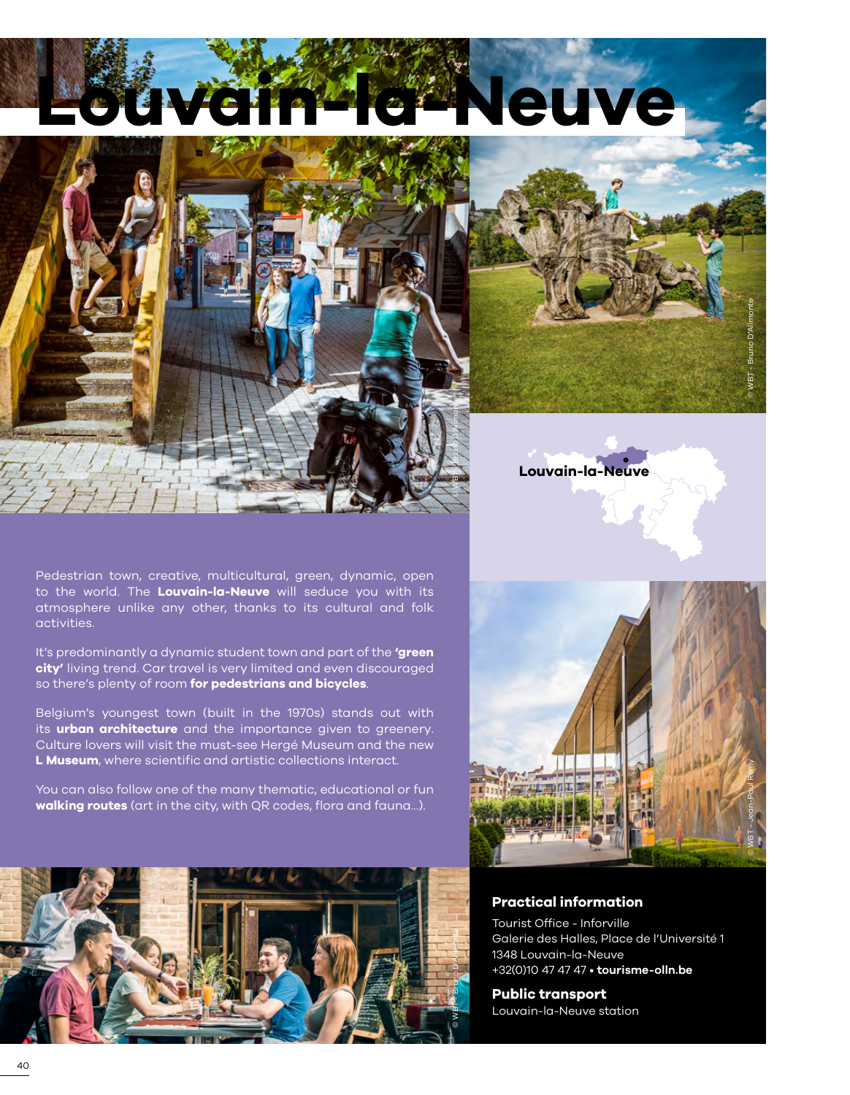# **Leuve**

© WBT - Bruno D'Alimonte



Pedestrian town, creative, multicultural, green, dynamic, open to the world. The **Louvain-la-Neuve** will seduce you with its atmosphere unlike any other, thanks to its cultural and folk activities.

It's predominantly a dynamic student town and part of the **'green city'** living trend. Car travel is very limited and even discouraged so there's plenty of room **for pedestrians and bicycles**.

Belgium's youngest town (built in the 1970s) stands out with its **urban architecture** and the importance given to greenery. Culture lovers will visit the must-see Hergé Museum and the new **L Museum**, where scientific and artistic collections interact.

You can also follow one of the many thematic, educational or fun **walking routes** (art in the city, with QR codes, flora and fauna...).



**Louvain-la-Neuve**

© WBT - Bruno D'Alimonte



#### **Practical information**

Tourist Office - Inforville Galerie des Halles, Place de l'Université 1 1348 Louvain-la-Neuve +32(0)10 47 47 47 • **[tourisme-olln.be](https://www.tourisme-olln.be/)**

### **Public transport**

Louvain-la-Neuve station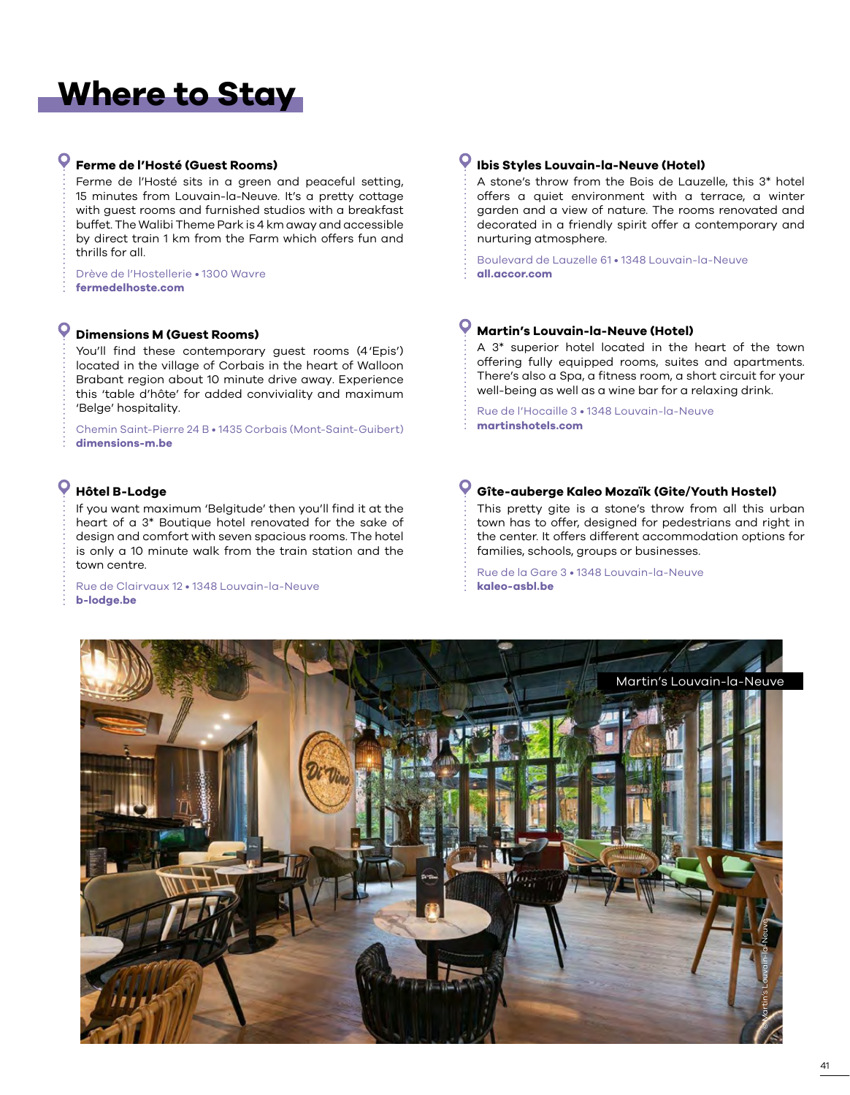## **Where to Stay**

#### **Ferme de l'Hosté (Guest Rooms)**

Ferme de l'Hosté sits in a green and peaceful setting, 15 minutes from Louvain-la-Neuve. It's a pretty cottage with guest rooms and furnished studios with a breakfast buffet. The Walibi Theme Park is 4 km away and accessible by direct train 1 km from the Farm which offers fun and thrills for all.

Drève de l'Hostellerie • 1300 Wavre **[fermedelhoste.com](www.fermedelhoste.com)**

#### **Dimensions M (Guest Rooms)**

You'll find these contemporary guest rooms (4'Epis') located in the village of Corbais in the heart of Walloon Brabant region about 10 minute drive away. Experience this 'table d'hôte' for added conviviality and maximum 'Belge' hospitality.

Chemin Saint-Pierre 24 B • 1435 Corbais (Mont-Saint-Guibert) **[dimensions-m.be](http://www.dimensions-m.be)**

#### O **Hôtel B-Lodge**

If you want maximum 'Belgitude' then you'll find it at the heart of a 3\* Boutique hotel renovated for the sake of design and comfort with seven spacious rooms. The hotel is only a 10 minute walk from the train station and the town centre.

Rue de Clairvaux 12 • 1348 Louvain-la-Neuve **[b-lodge.be](https://www.b-lodge.be/fr/)**

#### **Ibis Styles Louvain-la-Neuve (Hotel)**

A stone's throw from the Bois de Lauzelle, this 3\* hotel offers a quiet environment with a terrace, a winter garden and a view of nature. The rooms renovated and decorated in a friendly spirit offer a contemporary and nurturing atmosphere.

Boulevard de Lauzelle 61 • 1348 Louvain-la-Neuve **[all.accor.com](www.all.accor.com)**

#### **Martin's Louvain-la-Neuve (Hotel)**

A 3\* superior hotel located in the heart of the town offering fully equipped rooms, suites and apartments. There's also a Spa, a fitness room, a short circuit for your well-being as well as a wine bar for a relaxing drink.

Rue de l'Hocaille 3 • 1348 Louvain-la-Neuve **[martinshotels.com](https://www.martinshotels.com/fr/hotel/martins-louvain-la-neuve)**

#### **Gîte-auberge Kaleo Mozaïk (Gite/Youth Hostel)**

This pretty gite is a stone's throw from all this urban town has to offer, designed for pedestrians and right in the center. It offers different accommodation options for families, schools, groups or businesses.

Rue de la Gare 3 • 1348 Louvain-la-Neuve **[kaleo-asbl.be](https://www.kaleo-asbl.be/fr/gites/louvain-la-neuve/)**

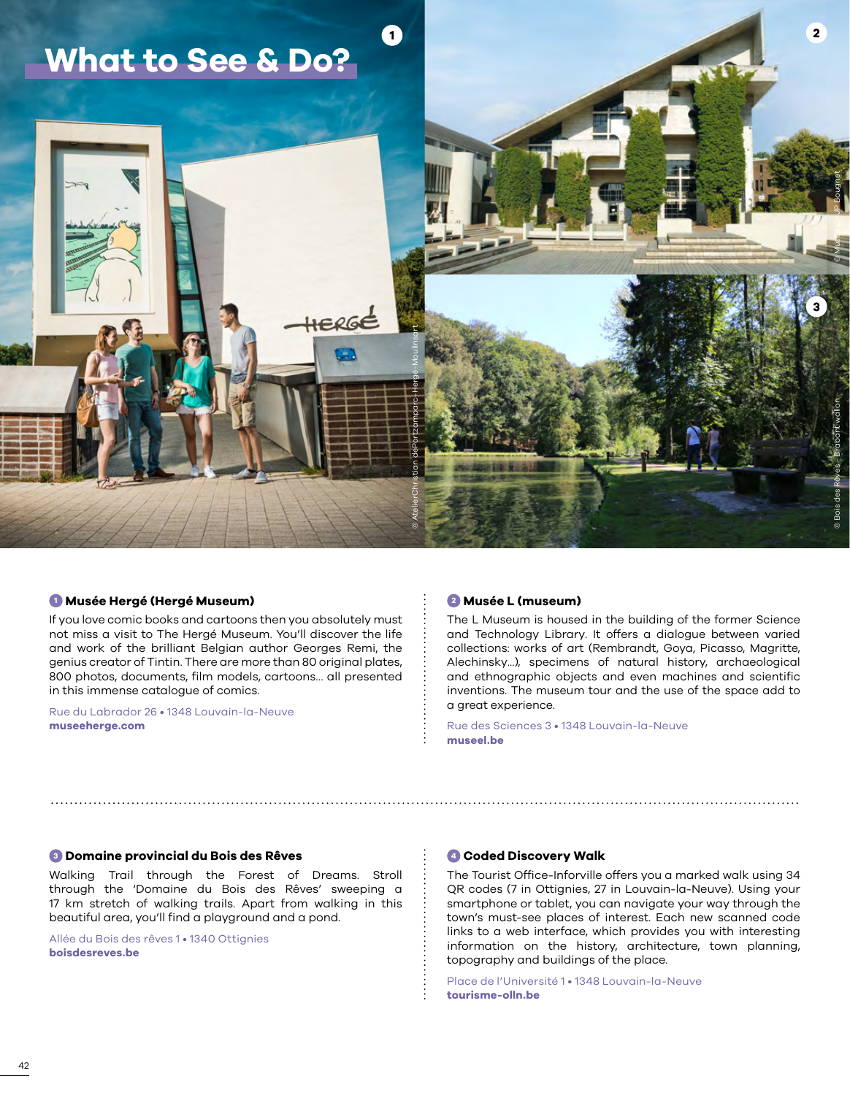

#### **<sup>1</sup> Musée Hergé (Hergé Museum)**

If you love comic books and cartoons then you absolutely must not miss a visit to The Hergé Museum. You'll discover the life and work of the brilliant Belgian author Georges Remi, the genius creator of Tintin. There are more than 80 original plates, 800 photos, documents, film models, cartoons… all presented in this immense catalogue of comics.

Rue du Labrador 26 • 1348 Louvain-la-Neuve **[museeherge.com](https://www.museeherge.com/fr)**

#### **<sup>2</sup> Musée L (museum)**

The L Museum is housed in the building of the former Science and Technology Library. It offers a dialogue between varied collections: works of art (Rembrandt, Goya, Picasso, Magritte, Alechinsky...), specimens of natural history, archaeological and ethnographic objects and even machines and scientific inventions. The museum tour and the use of the space add to a great experience.

Rue des Sciences 3 • 1348 Louvain-la-Neuve **[museel.be](http://www.museel.be/fr)**

#### **<sup>3</sup> Domaine provincial du Bois des Rêves**

Walking Trail through the Forest of Dreams. Stroll through the 'Domaine du Bois des Rêves' sweeping a 17 km stretch of walking trails. Apart from walking in this beautiful area, you'll find a playground and a pond.

Allée du Bois des rêves 1 • 1340 Ottignies **[boisdesreves.be](https://www.boisdesreves.be/)**

#### **<sup>4</sup> Coded Discovery Walk**

The Tourist Office-Inforville offers you a marked walk using 34 QR codes (7 in Ottignies, 27 in Louvain-la-Neuve). Using your smartphone or tablet, you can navigate your way through the town's must-see places of interest. Each new scanned code links to a web interface, which provides you with interesting information on the history, architecture, town planning, topography and buildings of the place.

Place de l'Université 1 • 1348 Louvain-la-Neuve **[tourisme-olln.be](https://www.tourisme-olln.be/explorez/visites/visites-individuelles-via-les-qr-codes)**